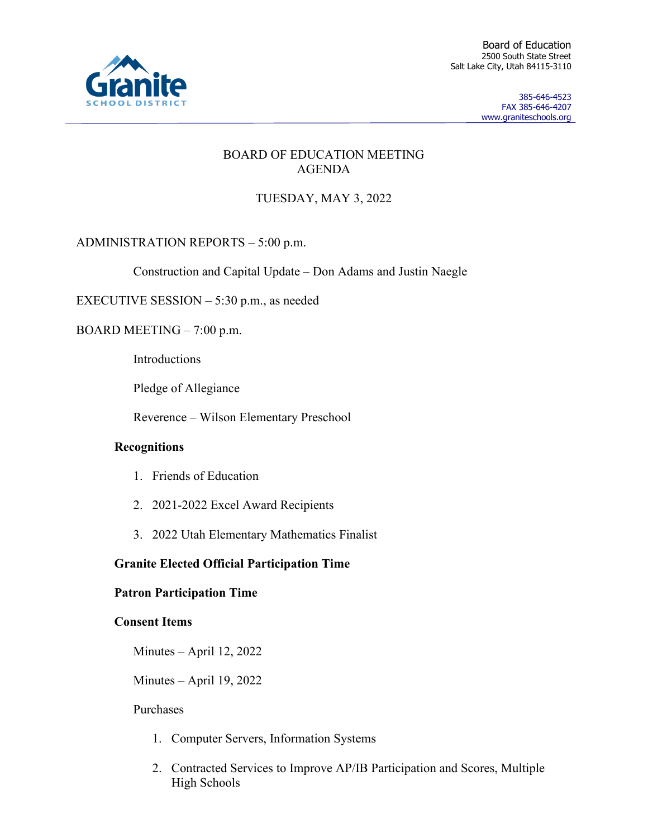

Board of Education 2500 South State Street Salt Lake City, Utah 84115-3110

> 385-646-4523 FAX 385-646-4207 www.graniteschools.org

## BOARD OF EDUCATION MEETING AGENDA

# TUESDAY, MAY 3, 2022

ADMINISTRATION REPORTS – 5:00 p.m.

Construction and Capital Update – Don Adams and Justin Naegle

EXECUTIVE SESSION – 5:30 p.m., as needed

BOARD MEETING – 7:00 p.m.

Introductions

Pledge of Allegiance

Reverence – Wilson Elementary Preschool

### **Recognitions**

- 1. Friends of Education
- 2. 2021-2022 Excel Award Recipients
- 3. 2022 Utah Elementary Mathematics Finalist

## **Granite Elected Official Participation Time**

### **Patron Participation Time**

### **Consent Items**

Minutes – April 12, 2022

Minutes – April 19, 2022

### Purchases

- 1. Computer Servers, Information Systems
- 2. Contracted Services to Improve AP/IB Participation and Scores, Multiple High Schools